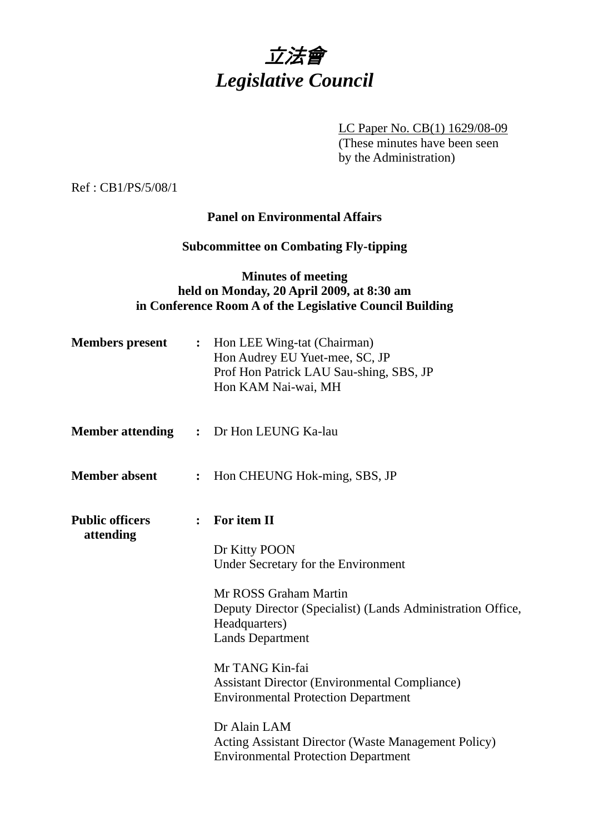

LC Paper No. CB(1) 1629/08-09 (These minutes have been seen by the Administration)

Ref : CB1/PS/5/08/1

## **Panel on Environmental Affairs**

# **Subcommittee on Combating Fly-tipping**

## **Minutes of meeting held on Monday, 20 April 2009, at 8:30 am in Conference Room A of the Legislative Council Building**

| <b>Members</b> present              |                | : Hon LEE Wing-tat (Chairman)<br>Hon Audrey EU Yuet-mee, SC, JP<br>Prof Hon Patrick LAU Sau-shing, SBS, JP<br>Hon KAM Nai-wai, MH                                                                                                                                                                                               |
|-------------------------------------|----------------|---------------------------------------------------------------------------------------------------------------------------------------------------------------------------------------------------------------------------------------------------------------------------------------------------------------------------------|
| <b>Member attending</b>             |                | : Dr Hon LEUNG Ka-lau                                                                                                                                                                                                                                                                                                           |
| <b>Member absent</b>                | $\ddot{\cdot}$ | Hon CHEUNG Hok-ming, SBS, JP                                                                                                                                                                                                                                                                                                    |
| <b>Public officers</b><br>attending | $\ddot{\cdot}$ | For item II<br>Dr Kitty POON<br>Under Secretary for the Environment<br>Mr ROSS Graham Martin<br>Deputy Director (Specialist) (Lands Administration Office,<br>Headquarters)<br><b>Lands Department</b><br>Mr TANG Kin-fai<br><b>Assistant Director (Environmental Compliance)</b><br><b>Environmental Protection Department</b> |
|                                     |                | Dr Alain LAM<br>Acting Assistant Director (Waste Management Policy)<br><b>Environmental Protection Department</b>                                                                                                                                                                                                               |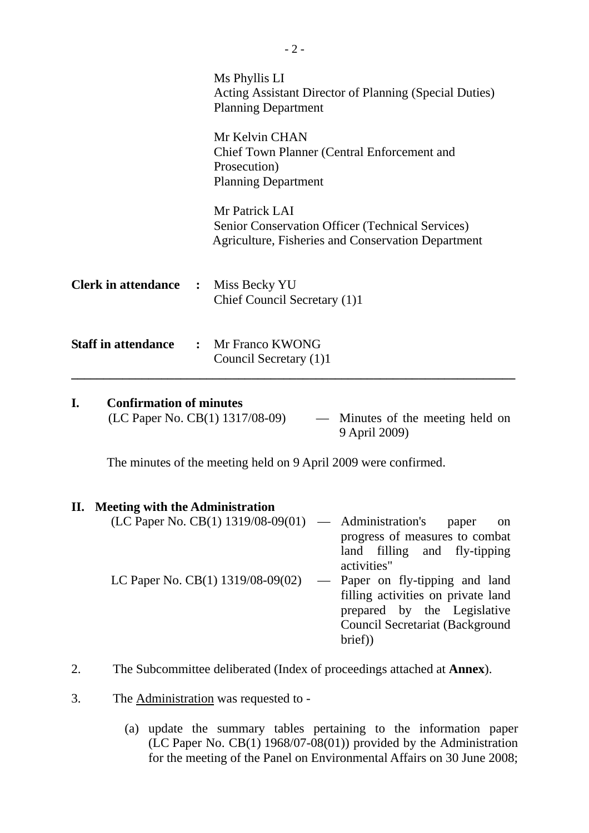|                                              | Ms Phyllis LI<br>Acting Assistant Director of Planning (Special Duties)<br><b>Planning Department</b>                                  |
|----------------------------------------------|----------------------------------------------------------------------------------------------------------------------------------------|
|                                              | Mr Kelvin CHAN<br>Chief Town Planner (Central Enforcement and<br>Prosecution)<br><b>Planning Department</b>                            |
|                                              | Mr Patrick LAI<br><b>Senior Conservation Officer (Technical Services)</b><br><b>Agriculture, Fisheries and Conservation Department</b> |
| <b>Clerk in attendance :</b> Miss Becky YU   | Chief Council Secretary (1)1                                                                                                           |
| <b>Staff in attendance : Mr Franco KWONG</b> | Council Secretary (1)1                                                                                                                 |

## **I. Confirmation of minutes**

(LC Paper No. CB(1) 1317/08-09) — Minutes of the meeting held on 9 April 2009)

The minutes of the meeting held on 9 April 2009 were confirmed.

#### **II. Meeting with the Administration**

| $(LC$ Paper No. $CB(1)$ 1319/08-09(01) — Administration's | paper<br><sub>on</sub>                 |
|-----------------------------------------------------------|----------------------------------------|
|                                                           | progress of measures to combat         |
|                                                           | land filling and fly-tipping           |
|                                                           | activities"                            |
| LC Paper No. CB(1) 1319/08-09(02)                         | — Paper on fly-tipping and land        |
|                                                           | filling activities on private land     |
|                                                           | prepared by the Legislative            |
|                                                           | <b>Council Secretariat (Background</b> |
|                                                           | brief)                                 |
|                                                           |                                        |

- 2. The Subcommittee deliberated (Index of proceedings attached at **Annex**).
- 3. The Administration was requested to
	- (a) update the summary tables pertaining to the information paper (LC Paper No.  $CB(1)$  1968/07-08(01)) provided by the Administration for the meeting of the Panel on Environmental Affairs on 30 June 2008;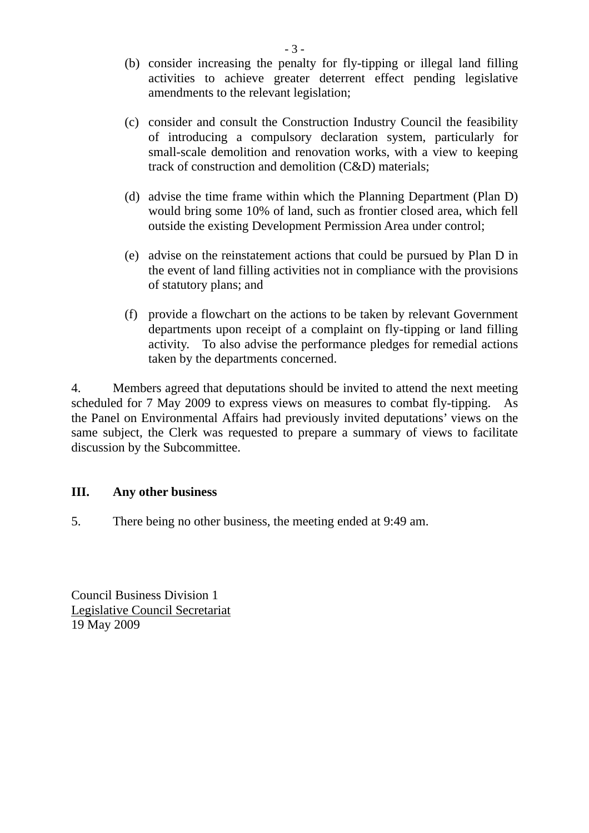- (b) consider increasing the penalty for fly-tipping or illegal land filling activities to achieve greater deterrent effect pending legislative amendments to the relevant legislation;
- (c) consider and consult the Construction Industry Council the feasibility of introducing a compulsory declaration system, particularly for small-scale demolition and renovation works, with a view to keeping track of construction and demolition (C&D) materials;
- (d) advise the time frame within which the Planning Department (Plan D) would bring some 10% of land, such as frontier closed area, which fell outside the existing Development Permission Area under control;
- (e) advise on the reinstatement actions that could be pursued by Plan D in the event of land filling activities not in compliance with the provisions of statutory plans; and
- (f) provide a flowchart on the actions to be taken by relevant Government departments upon receipt of a complaint on fly-tipping or land filling activity. To also advise the performance pledges for remedial actions taken by the departments concerned.

4. Members agreed that deputations should be invited to attend the next meeting scheduled for 7 May 2009 to express views on measures to combat fly-tipping. the Panel on Environmental Affairs had previously invited deputations' views on the same subject, the Clerk was requested to prepare a summary of views to facilitate discussion by the Subcommittee.

# **III. Any other business**

5. There being no other business, the meeting ended at 9:49 am.

Council Business Division 1 Legislative Council Secretariat 19 May 2009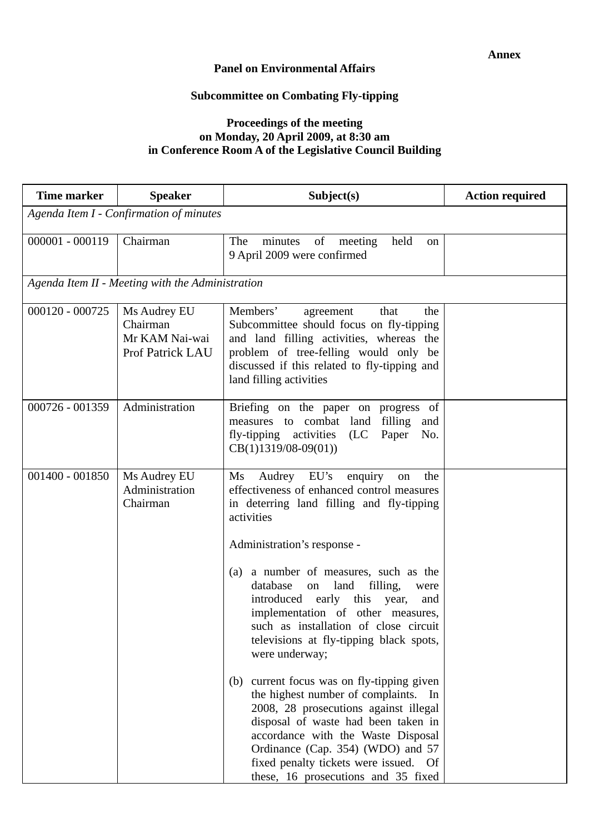### **Panel on Environmental Affairs**

# **Subcommittee on Combating Fly-tipping**

## **Proceedings of the meeting on Monday, 20 April 2009, at 8:30 am in Conference Room A of the Legislative Council Building**

| <b>Time marker</b>                      | <b>Speaker</b>                                                        | Subject(s)                                                                                                                                                                                                                                                                                                                                                                                                                                                                                           | <b>Action required</b> |  |  |
|-----------------------------------------|-----------------------------------------------------------------------|------------------------------------------------------------------------------------------------------------------------------------------------------------------------------------------------------------------------------------------------------------------------------------------------------------------------------------------------------------------------------------------------------------------------------------------------------------------------------------------------------|------------------------|--|--|
| Agenda Item I - Confirmation of minutes |                                                                       |                                                                                                                                                                                                                                                                                                                                                                                                                                                                                                      |                        |  |  |
| $000001 - 000119$                       | Chairman                                                              | minutes of<br>held<br>The<br>meeting<br>on<br>9 April 2009 were confirmed                                                                                                                                                                                                                                                                                                                                                                                                                            |                        |  |  |
|                                         | Agenda Item II - Meeting with the Administration                      |                                                                                                                                                                                                                                                                                                                                                                                                                                                                                                      |                        |  |  |
| $000120 - 000725$                       | Ms Audrey EU<br>Chairman<br>Mr KAM Nai-wai<br><b>Prof Patrick LAU</b> | Members'<br>agreement<br>that<br>the<br>Subcommittee should focus on fly-tipping<br>and land filling activities, whereas the<br>problem of tree-felling would only be<br>discussed if this related to fly-tipping and<br>land filling activities                                                                                                                                                                                                                                                     |                        |  |  |
| $000726 - 001359$                       | Administration                                                        | Briefing on the paper on progress of<br>measures to combat land filling<br>and<br>fly-tipping activities<br>(LC Paper<br>No.<br>$CB(1)1319/08-09(01))$                                                                                                                                                                                                                                                                                                                                               |                        |  |  |
| $001400 - 001850$                       | Ms Audrey EU<br>Administration<br>Chairman                            | Ms Audrey EU's enquiry<br>on<br>the<br>effectiveness of enhanced control measures<br>in deterring land filling and fly-tipping<br>activities<br>Administration's response -<br>(a) a number of measures, such as the<br>database<br>land<br>filling,<br>on<br>were<br>introduced early this year,<br>and<br>implementation of other measures,<br>such as installation of close circuit<br>televisions at fly-tipping black spots,<br>were underway;<br>current focus was on fly-tipping given<br>(b) |                        |  |  |
|                                         |                                                                       | the highest number of complaints. In<br>2008, 28 prosecutions against illegal<br>disposal of waste had been taken in<br>accordance with the Waste Disposal<br>Ordinance (Cap. 354) (WDO) and 57<br>fixed penalty tickets were issued. Of<br>these, 16 prosecutions and 35 fixed                                                                                                                                                                                                                      |                        |  |  |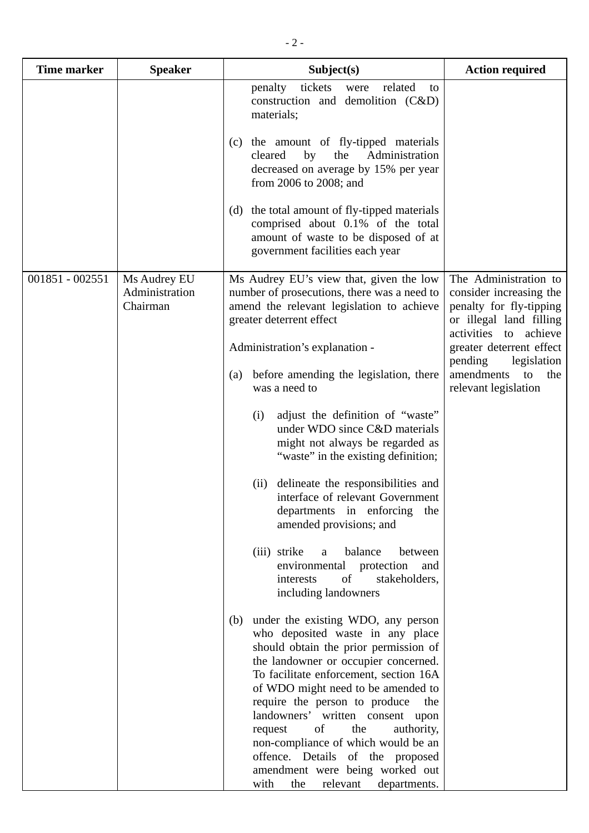| <b>Time marker</b> | <b>Speaker</b>                             | Subject(s)                                                                                                                                                                                                                                                                                                                                                                                                                                                                                                                | <b>Action required</b>                                                                                                                                                                                                                   |
|--------------------|--------------------------------------------|---------------------------------------------------------------------------------------------------------------------------------------------------------------------------------------------------------------------------------------------------------------------------------------------------------------------------------------------------------------------------------------------------------------------------------------------------------------------------------------------------------------------------|------------------------------------------------------------------------------------------------------------------------------------------------------------------------------------------------------------------------------------------|
|                    |                                            | related<br>penalty<br>tickets<br>were<br>to<br>construction and demolition (C&D)<br>materials;<br>(c) the amount of fly-tipped materials<br>Administration<br>cleared<br>by<br>the<br>decreased on average by 15% per year<br>from 2006 to 2008; and<br>(d) the total amount of fly-tipped materials<br>comprised about 0.1% of the total<br>amount of waste to be disposed of at                                                                                                                                         |                                                                                                                                                                                                                                          |
|                    |                                            | government facilities each year                                                                                                                                                                                                                                                                                                                                                                                                                                                                                           |                                                                                                                                                                                                                                          |
| 001851 - 002551    | Ms Audrey EU<br>Administration<br>Chairman | Ms Audrey EU's view that, given the low<br>number of prosecutions, there was a need to<br>amend the relevant legislation to achieve<br>greater deterrent effect<br>Administration's explanation -<br>before amending the legislation, there<br>(a)<br>was a need to<br>adjust the definition of "waste"<br>(i)                                                                                                                                                                                                            | The Administration to<br>consider increasing the<br>penalty for fly-tipping<br>or illegal land filling<br>activities to achieve<br>greater deterrent effect<br>pending<br>legislation<br>amendments<br>the<br>to<br>relevant legislation |
|                    |                                            | under WDO since C&D materials<br>might not always be regarded as<br>"waste" in the existing definition;<br>delineate the responsibilities and<br>(ii)<br>interface of relevant Government<br>departments in enforcing<br>the<br>amended provisions; and                                                                                                                                                                                                                                                                   |                                                                                                                                                                                                                                          |
|                    |                                            | (iii) strike<br>balance<br>between<br>a<br>environmental protection<br>and<br>of<br>stakeholders,<br>interests<br>including landowners                                                                                                                                                                                                                                                                                                                                                                                    |                                                                                                                                                                                                                                          |
|                    |                                            | under the existing WDO, any person<br>(b)<br>who deposited waste in any place<br>should obtain the prior permission of<br>the landowner or occupier concerned.<br>To facilitate enforcement, section 16A<br>of WDO might need to be amended to<br>require the person to produce<br>the<br>landowners' written consent upon<br>of<br>the<br>authority,<br>request<br>non-compliance of which would be an<br>offence. Details of the proposed<br>amendment were being worked out<br>relevant<br>with<br>the<br>departments. |                                                                                                                                                                                                                                          |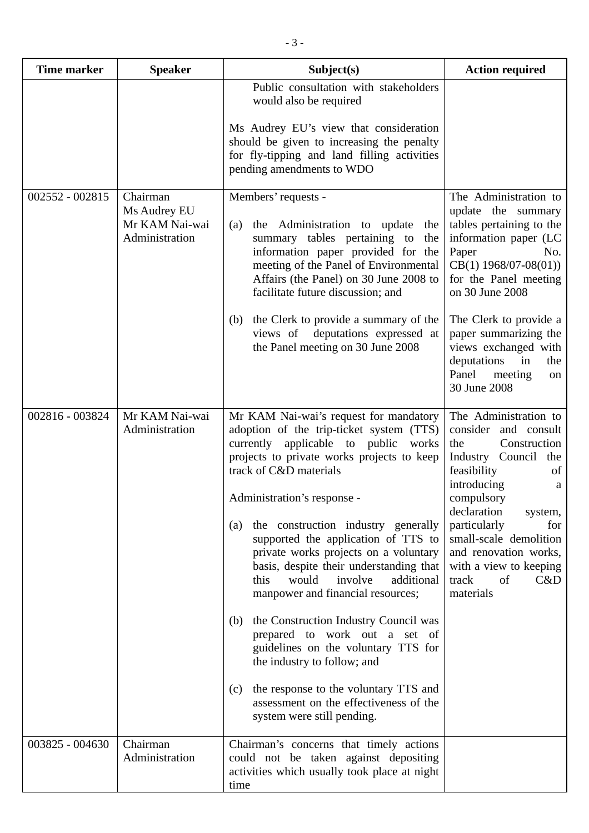| <b>Time marker</b> | <b>Speaker</b>                                               | Subject(s)                                                                                                                                                                                                                                                                                                                                                                                                                                                                                                                                                                                                                                                                                                                                                                  | <b>Action required</b>                                                                                                                                                                                                                                                                                                                       |
|--------------------|--------------------------------------------------------------|-----------------------------------------------------------------------------------------------------------------------------------------------------------------------------------------------------------------------------------------------------------------------------------------------------------------------------------------------------------------------------------------------------------------------------------------------------------------------------------------------------------------------------------------------------------------------------------------------------------------------------------------------------------------------------------------------------------------------------------------------------------------------------|----------------------------------------------------------------------------------------------------------------------------------------------------------------------------------------------------------------------------------------------------------------------------------------------------------------------------------------------|
|                    |                                                              | Public consultation with stakeholders<br>would also be required<br>Ms Audrey EU's view that consideration<br>should be given to increasing the penalty<br>for fly-tipping and land filling activities<br>pending amendments to WDO                                                                                                                                                                                                                                                                                                                                                                                                                                                                                                                                          |                                                                                                                                                                                                                                                                                                                                              |
| 002552 - 002815    | Chairman<br>Ms Audrey EU<br>Mr KAM Nai-wai<br>Administration | Members' requests -<br>the Administration to update<br>(a)<br>the<br>summary tables pertaining to the<br>information paper provided for the<br>meeting of the Panel of Environmental<br>Affairs (the Panel) on 30 June 2008 to<br>facilitate future discussion; and<br>the Clerk to provide a summary of the<br>(b)<br>views of deputations expressed at<br>the Panel meeting on 30 June 2008                                                                                                                                                                                                                                                                                                                                                                               | The Administration to<br>update the summary<br>tables pertaining to the<br>information paper (LC<br>Paper<br>No.<br>$CB(1)$ 1968/07-08(01))<br>for the Panel meeting<br>on 30 June 2008<br>The Clerk to provide a<br>paper summarizing the<br>views exchanged with<br>deputations<br>$\sin$<br>the<br>Panel<br>meeting<br>on<br>30 June 2008 |
| 002816 - 003824    | Mr KAM Nai-wai<br>Administration                             | Mr KAM Nai-wai's request for mandatory<br>adoption of the trip-ticket system (TTS)<br>currently applicable to public<br>works<br>projects to private works projects to keep<br>track of C&D materials<br>Administration's response -<br>the construction industry generally<br>(a)<br>supported the application of TTS to<br>private works projects on a voluntary<br>basis, despite their understanding that<br>would<br>involve<br>additional<br>this<br>manpower and financial resources;<br>the Construction Industry Council was<br>(b)<br>prepared to work out a set of<br>guidelines on the voluntary TTS for<br>the industry to follow; and<br>the response to the voluntary TTS and<br>(c)<br>assessment on the effectiveness of the<br>system were still pending. | The Administration to<br>consider and consult<br>Construction<br>the<br>Industry Council the<br>feasibility<br>of<br>introducing<br>a<br>compulsory<br>declaration<br>system,<br>particularly<br>for<br>small-scale demolition<br>and renovation works,<br>with a view to keeping<br>track<br>of<br>C&D<br>materials                         |
| 003825 - 004630    | Chairman<br>Administration                                   | Chairman's concerns that timely actions<br>could not be taken against depositing<br>activities which usually took place at night<br>time                                                                                                                                                                                                                                                                                                                                                                                                                                                                                                                                                                                                                                    |                                                                                                                                                                                                                                                                                                                                              |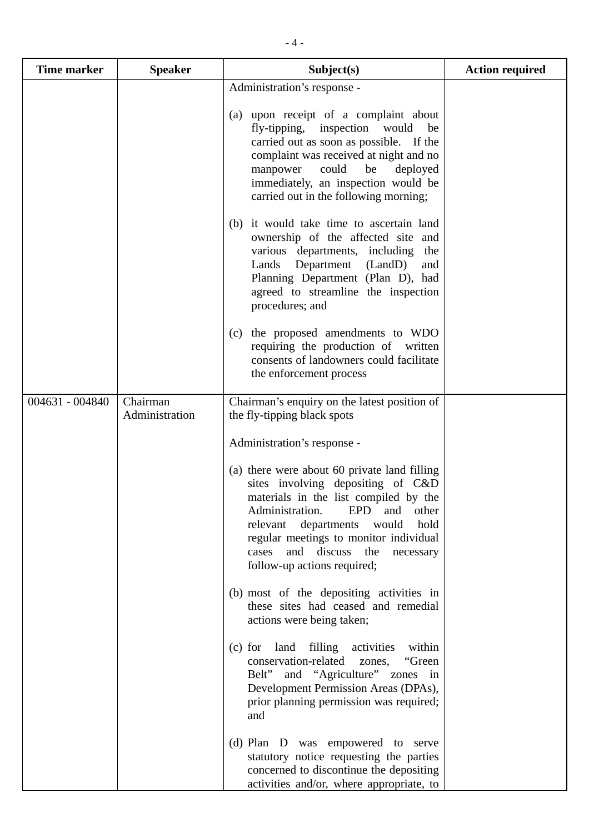| <b>Time marker</b> | <b>Speaker</b>             | Subject(s)                                                                                                                                                                                                                                                                                                                 | <b>Action required</b> |
|--------------------|----------------------------|----------------------------------------------------------------------------------------------------------------------------------------------------------------------------------------------------------------------------------------------------------------------------------------------------------------------------|------------------------|
|                    |                            | Administration's response -<br>(a) upon receipt of a complaint about<br>fly-tipping, inspection<br>would<br>be<br>carried out as soon as possible. If the<br>complaint was received at night and no<br>could<br>be<br>manpower<br>deployed<br>immediately, an inspection would be<br>carried out in the following morning; |                        |
|                    |                            | (b) it would take time to ascertain land<br>ownership of the affected site and<br>various departments, including<br>the<br>Lands Department (LandD)<br>and<br>Planning Department (Plan D), had<br>agreed to streamline the inspection<br>procedures; and                                                                  |                        |
|                    |                            | (c) the proposed amendments to WDO<br>requiring the production of written<br>consents of landowners could facilitate<br>the enforcement process                                                                                                                                                                            |                        |
| 004631 - 004840    | Chairman<br>Administration | Chairman's enquiry on the latest position of<br>the fly-tipping black spots                                                                                                                                                                                                                                                |                        |
|                    |                            | Administration's response -                                                                                                                                                                                                                                                                                                |                        |
|                    |                            | (a) there were about 60 private land filling<br>sites involving depositing of C&D<br>materials in the list compiled by the<br>Administration.<br>EPD and other<br>relevant departments<br>hold<br>would<br>regular meetings to monitor individual<br>and discuss the necessary<br>cases<br>follow-up actions required;     |                        |
|                    |                            | (b) most of the depositing activities in<br>these sites had ceased and remedial<br>actions were being taken;                                                                                                                                                                                                               |                        |
|                    |                            | (c) for land filling activities within<br>conservation-related zones,<br>"Green"<br>Belt" and "Agriculture" zones in<br>Development Permission Areas (DPAs),<br>prior planning permission was required;<br>and                                                                                                             |                        |
|                    |                            | (d) Plan D was empowered to serve<br>statutory notice requesting the parties<br>concerned to discontinue the depositing<br>activities and/or, where appropriate, to                                                                                                                                                        |                        |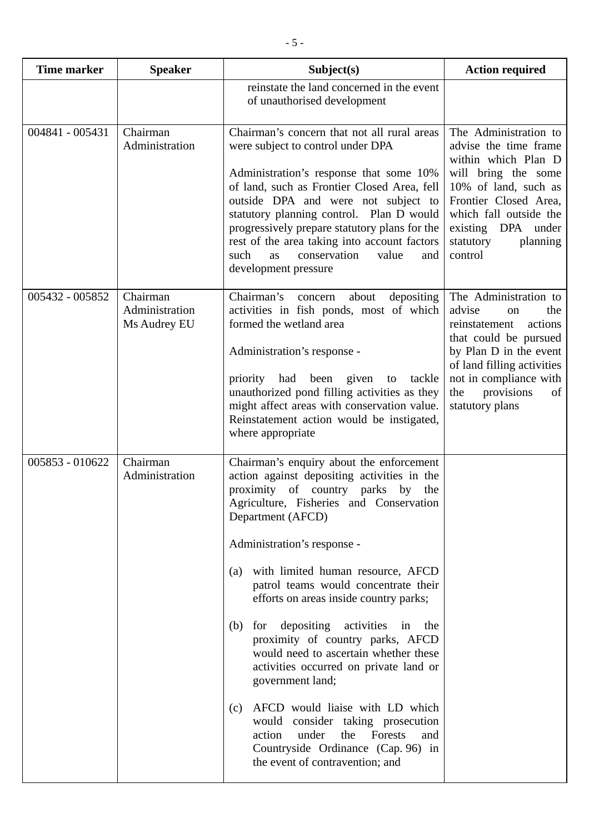| <b>Time marker</b> | <b>Speaker</b>                             | Subject(s)                                                                                                                                                                                                                                                                                                                                                                                                                                                                                                                                                                                                                                                                                                                                                      | <b>Action required</b>                                                                                                                                                                                                                       |
|--------------------|--------------------------------------------|-----------------------------------------------------------------------------------------------------------------------------------------------------------------------------------------------------------------------------------------------------------------------------------------------------------------------------------------------------------------------------------------------------------------------------------------------------------------------------------------------------------------------------------------------------------------------------------------------------------------------------------------------------------------------------------------------------------------------------------------------------------------|----------------------------------------------------------------------------------------------------------------------------------------------------------------------------------------------------------------------------------------------|
|                    |                                            | reinstate the land concerned in the event<br>of unauthorised development                                                                                                                                                                                                                                                                                                                                                                                                                                                                                                                                                                                                                                                                                        |                                                                                                                                                                                                                                              |
| 004841 - 005431    | Chairman<br>Administration                 | Chairman's concern that not all rural areas<br>were subject to control under DPA<br>Administration's response that some 10%<br>of land, such as Frontier Closed Area, fell<br>outside DPA and were not subject to<br>statutory planning control. Plan D would<br>progressively prepare statutory plans for the<br>rest of the area taking into account factors<br>such<br>conservation<br>value<br>as<br>and<br>development pressure                                                                                                                                                                                                                                                                                                                            | The Administration to<br>advise the time frame<br>within which Plan D<br>will bring the some<br>10% of land, such as<br>Frontier Closed Area,<br>which fall outside the<br>existing DPA under<br>statutory<br>planning<br>control            |
| 005432 - 005852    | Chairman<br>Administration<br>Ms Audrey EU | Chairman's<br>depositing<br>about<br>concern<br>activities in fish ponds, most of which<br>formed the wetland area<br>Administration's response -<br>priority had<br>been<br>given<br>tackle<br>to<br>unauthorized pond filling activities as they<br>might affect areas with conservation value.<br>Reinstatement action would be instigated,<br>where appropriate                                                                                                                                                                                                                                                                                                                                                                                             | The Administration to<br>advise<br>the<br><sub>on</sub><br>actions<br>reinstatement<br>that could be pursued<br>by Plan D in the event<br>of land filling activities<br>not in compliance with<br>provisions<br>the<br>of<br>statutory plans |
| 005853 - 010622    | Chairman<br>Administration                 | Chairman's enquiry about the enforcement<br>action against depositing activities in the<br>proximity of country parks by<br>the<br>Agriculture, Fisheries and Conservation<br>Department (AFCD)<br>Administration's response -<br>with limited human resource, AFCD<br>(a)<br>patrol teams would concentrate their<br>efforts on areas inside country parks;<br>depositing activities<br>for<br>(b)<br>in<br>the<br>proximity of country parks, AFCD<br>would need to ascertain whether these<br>activities occurred on private land or<br>government land;<br>AFCD would liaise with LD which<br>(c)<br>would consider taking prosecution<br>under<br>Forests<br>the<br>action<br>and<br>Countryside Ordinance (Cap. 96) in<br>the event of contravention; and |                                                                                                                                                                                                                                              |